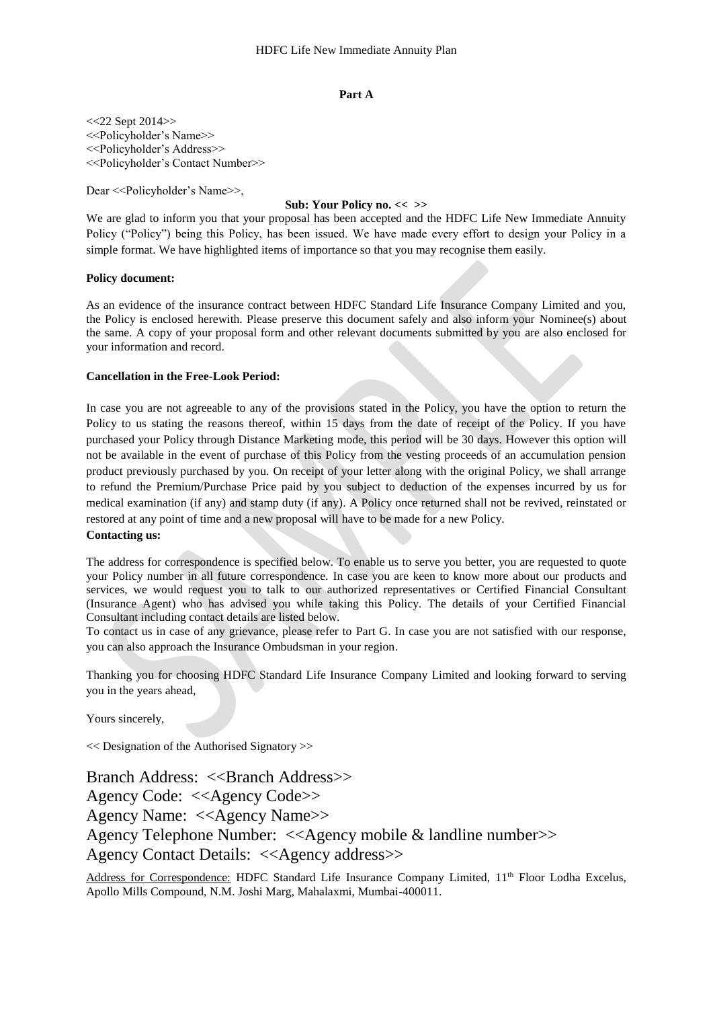#### **Part A**

 $<<$ 22 Sept 2014 $>>$ <<Policyholder's Name>> <<Policyholder's Address>> <<Policyholder's Contact Number>>

Dear <<Policyholder's Name>>,

# **Sub: Your Policy no. << >>**

We are glad to inform you that your proposal has been accepted and the HDFC Life New Immediate Annuity Policy ("Policy") being this Policy, has been issued. We have made every effort to design your Policy in a simple format. We have highlighted items of importance so that you may recognise them easily.

#### **Policy document:**

As an evidence of the insurance contract between HDFC Standard Life Insurance Company Limited and you, the Policy is enclosed herewith. Please preserve this document safely and also inform your Nominee(s) about the same. A copy of your proposal form and other relevant documents submitted by you are also enclosed for your information and record.

#### **Cancellation in the Free-Look Period:**

In case you are not agreeable to any of the provisions stated in the Policy, you have the option to return the Policy to us stating the reasons thereof, within 15 days from the date of receipt of the Policy. If you have purchased your Policy through Distance Marketing mode, this period will be 30 days. However this option will not be available in the event of purchase of this Policy from the vesting proceeds of an accumulation pension product previously purchased by you. On receipt of your letter along with the original Policy, we shall arrange to refund the Premium/Purchase Price paid by you subject to deduction of the expenses incurred by us for medical examination (if any) and stamp duty (if any). A Policy once returned shall not be revived, reinstated or restored at any point of time and a new proposal will have to be made for a new Policy.

# **Contacting us:**

The address for correspondence is specified below. To enable us to serve you better, you are requested to quote your Policy number in all future correspondence. In case you are keen to know more about our products and services, we would request you to talk to our authorized representatives or Certified Financial Consultant (Insurance Agent) who has advised you while taking this Policy. The details of your Certified Financial Consultant including contact details are listed below.

To contact us in case of any grievance, please refer to Part G. In case you are not satisfied with our response, you can also approach the Insurance Ombudsman in your region.

Thanking you for choosing HDFC Standard Life Insurance Company Limited and looking forward to serving you in the years ahead,

Yours sincerely,

<< Designation of the Authorised Signatory >>

Branch Address: <<Branch Address>> Agency Code: <<Agency Code>> Agency Name: <<Agency Name>> Agency Telephone Number: <<Agency mobile & landline number>> Agency Contact Details: <<Agency address>>

Address for Correspondence: HDFC Standard Life Insurance Company Limited, 11<sup>th</sup> Floor Lodha Excelus, Apollo Mills Compound, N.M. Joshi Marg, Mahalaxmi, Mumbai-400011.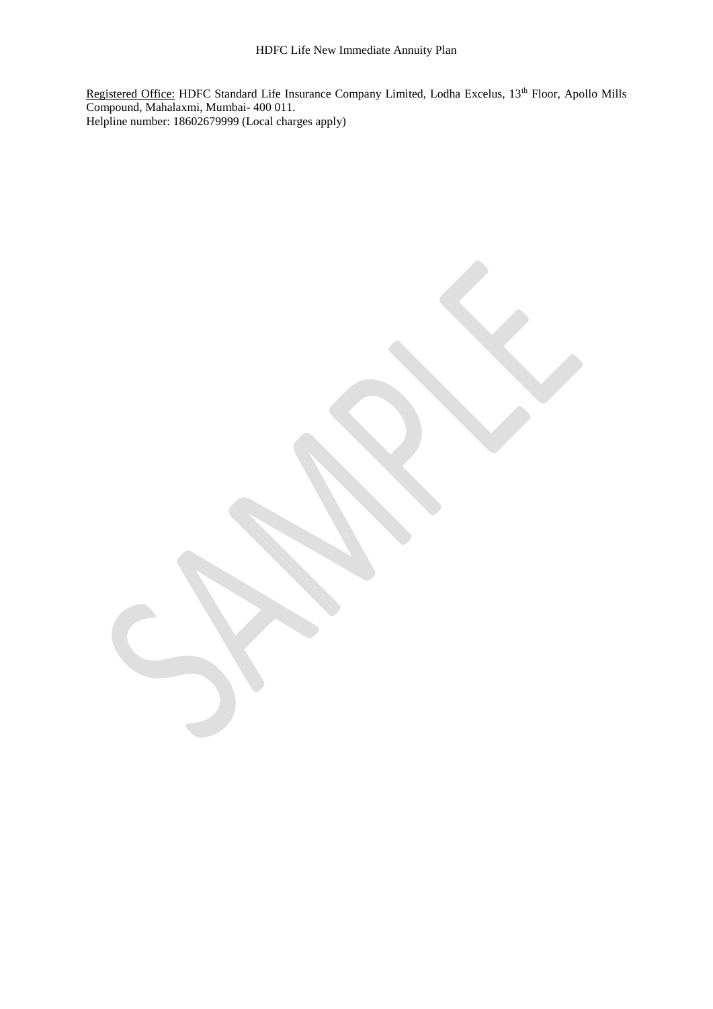Registered Office: HDFC Standard Life Insurance Company Limited, Lodha Excelus, 13<sup>th</sup> Floor, Apollo Mills Compound, Mahalaxmi, Mumbai- 400 011. Helpline number: 18602679999 (Local charges apply)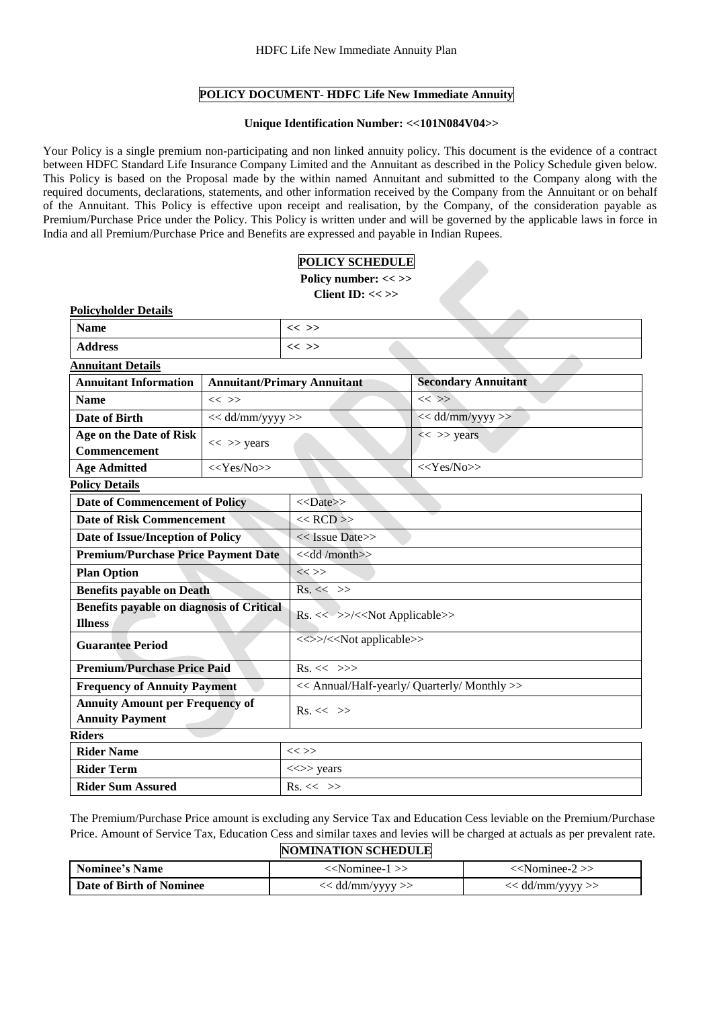# **POLICY DOCUMENT- HDFC Life New Immediate Annuity**

#### **Unique Identification Number: <<101N084V04>>**

Your Policy is a single premium non-participating and non linked annuity policy. This document is the evidence of a contract between HDFC Standard Life Insurance Company Limited and the Annuitant as described in the Policy Schedule given below. This Policy is based on the Proposal made by the within named Annuitant and submitted to the Company along with the required documents, declarations, statements, and other information received by the Company from the Annuitant or on behalf of the Annuitant. This Policy is effective upon receipt and realisation, by the Company, of the consideration payable as Premium/Purchase Price under the Policy. This Policy is written under and will be governed by the applicable laws in force in India and all Premium/Purchase Price and Benefits are expressed and payable in Indian Rupees.

# **POLICY SCHEDULE**

**Policy number: << >>**

**Client ID: << >>**

| <b>Policyholder Details</b>                                 |                                    |                                              |                            |  |
|-------------------------------------------------------------|------------------------------------|----------------------------------------------|----------------------------|--|
| <b>Name</b>                                                 |                                    | $<<$ >>                                      |                            |  |
| <b>Address</b>                                              |                                    | $<<$ >>                                      |                            |  |
| <b>Annuitant Details</b>                                    |                                    |                                              |                            |  |
| <b>Annuitant Information</b>                                | <b>Annuitant/Primary Annuitant</b> |                                              | <b>Secondary Annuitant</b> |  |
| <b>Name</b>                                                 | $<<$ >>                            |                                              | $<<$ >>                    |  |
| <b>Date of Birth</b>                                        | $<<$ dd/mm/yyyy>>                  |                                              | $<<$ dd/mm/yyyy >>         |  |
| Age on the Date of Risk                                     | $<<$ >> years                      |                                              | $<<$ >> years              |  |
| <b>Commencement</b>                                         |                                    |                                              |                            |  |
| <b>Age Admitted</b>                                         | $<<$ Yes/No>>                      |                                              | < <yes no="">&gt;</yes>    |  |
| <b>Policy Details</b>                                       |                                    |                                              |                            |  |
| <b>Date of Commencement of Policy</b>                       |                                    | $<<$ Date>>                                  |                            |  |
| <b>Date of Risk Commencement</b>                            |                                    | $<<$ RCD $>>$                                |                            |  |
| Date of Issue/Inception of Policy                           |                                    | << Issue Date>>                              |                            |  |
| <b>Premium/Purchase Price Payment Date</b>                  |                                    | < <dd month="">&gt;</dd>                     |                            |  |
| <b>Plan Option</b>                                          |                                    | $<<$ >>                                      |                            |  |
| <b>Benefits payable on Death</b>                            |                                    | $Rs. \ll \gg$                                |                            |  |
| Benefits payable on diagnosis of Critical<br><b>Illness</b> |                                    | Rs. << >>/< <not applicable="">&gt;</not>    |                            |  |
| <b>Guarantee Period</b>                                     |                                    | <<>>/< <not applicable="">&gt;</not>         |                            |  |
| <b>Premium/Purchase Price Paid</b>                          |                                    | $Rs. \ll \gg>$                               |                            |  |
| <b>Frequency of Annuity Payment</b>                         |                                    | << Annual/Half-yearly/ Quarterly/ Monthly >> |                            |  |
| <b>Annuity Amount per Frequency of</b>                      |                                    | $Rs. \ll \gg$                                |                            |  |
| <b>Annuity Payment</b>                                      |                                    |                                              |                            |  |
| <b>Riders</b>                                               |                                    |                                              |                            |  |
| <b>Rider Name</b>                                           |                                    | $<<$ >>                                      |                            |  |
| <b>Rider Term</b>                                           |                                    | $\ll\gg$ years                               |                            |  |
| <b>Rider Sum Assured</b>                                    |                                    | $Rs. \ll \gg$                                |                            |  |

The Premium/Purchase Price amount is excluding any Service Tax and Education Cess leviable on the Premium/Purchase Price. Amount of Service Tax, Education Cess and similar taxes and levies will be charged at actuals as per prevalent rate.

|  |  | <b>NOMINATION SCHEDULE</b> |  |
|--|--|----------------------------|--|
|--|--|----------------------------|--|

| <b>Nominee's Name</b>    | < <nominee-1>&gt;</nominee-1> | < <nominee-2>&gt;</nominee-2> |
|--------------------------|-------------------------------|-------------------------------|
| Date of Birth of Nominee | < dd/mm/yyyy >>               | << dd/mm/yyyy >>              |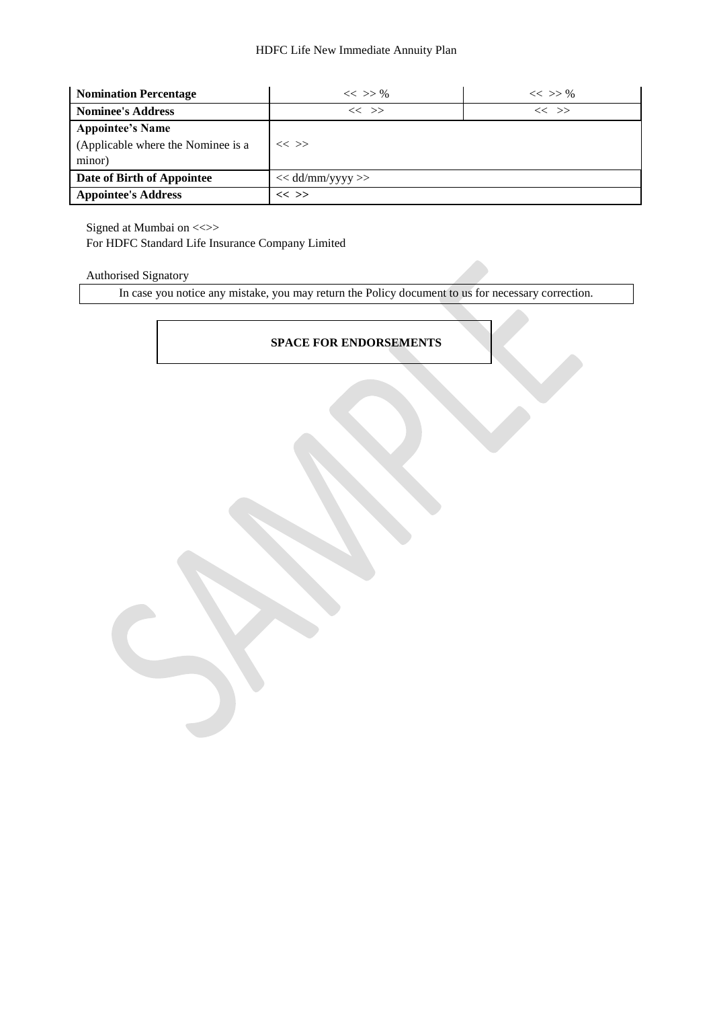| <b>Nomination Percentage</b>       | $<<$ >> %          | $<<$ >> % |  |
|------------------------------------|--------------------|-----------|--|
| <b>Nominee's Address</b>           | $<<$ >>            | $<<$ $>>$ |  |
| <b>Appointee's Name</b>            |                    |           |  |
| (Applicable where the Nominee is a | $<<$ >>            |           |  |
| minor)                             |                    |           |  |
| Date of Birth of Appointee         | $<<$ dd/mm/yyyy >> |           |  |
| <b>Appointee's Address</b>         | $<<$ >>            |           |  |

Signed at Mumbai on <<>> For HDFC Standard Life Insurance Company Limited

# Authorised Signatory

In case you notice any mistake, you may return the Policy document to us for necessary correction.

# **SPACE FOR ENDORSEMENTS**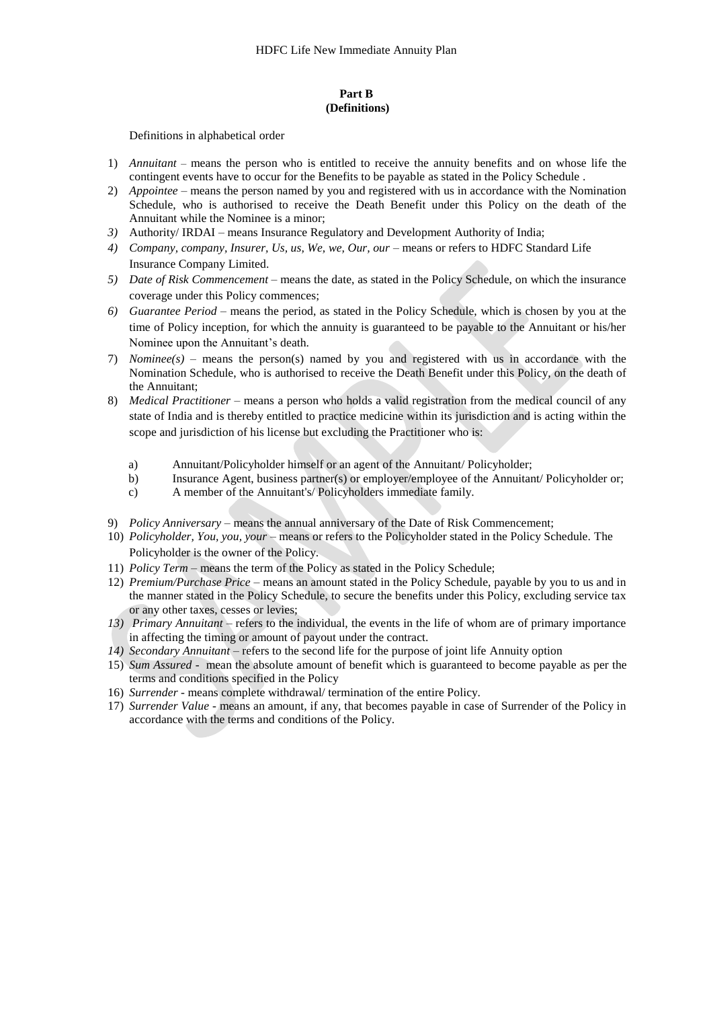## **Part B (Definitions)**

Definitions in alphabetical order

- 1) *Annuitant –* means the person who is entitled to receive the annuity benefits and on whose life the contingent events have to occur for the Benefits to be payable as stated in the Policy Schedule .
- 2) *Appointee –* means the person named by you and registered with us in accordance with the Nomination Schedule, who is authorised to receive the Death Benefit under this Policy on the death of the Annuitant while the Nominee is a minor;
- *3)* Authority/ IRDAI means Insurance Regulatory and Development Authority of India;
- 4) *Company, company, Insurer, Us, us, We, we, Our, our means or refers to HDFC Standard Life* Insurance Company Limited.
- *5) Date of Risk Commencement –* means the date, as stated in the Policy Schedule, on which the insurance coverage under this Policy commences;
- *6) Guarantee Period*  means the period, as stated in the Policy Schedule, which is chosen by you at the time of Policy inception, for which the annuity is guaranteed to be payable to the Annuitant or his/her Nominee upon the Annuitant's death.
- 7) *Nominee(s) –* means the person(s) named by you and registered with us in accordance with the Nomination Schedule, who is authorised to receive the Death Benefit under this Policy, on the death of the Annuitant;
- 8) *Medical Practitioner*  means a person who holds a valid registration from the medical council of any state of India and is thereby entitled to practice medicine within its jurisdiction and is acting within the scope and jurisdiction of his license but excluding the Practitioner who is:
	- a) Annuitant/Policyholder himself or an agent of the Annuitant/ Policyholder;
	- b) Insurance Agent, business partner(s) or employer/employee of the Annuitant/ Policyholder or;<br>c) A member of the Annuitant's/ Policyholders immediate family.
	- A member of the Annuitant's/ Policyholders immediate family.
- 9) *Policy Anniversary* means the annual anniversary of the Date of Risk Commencement;
- 10) *Policyholder, You, you, your* means or refers to the Policyholder stated in the Policy Schedule. The Policyholder is the owner of the Policy.
- 11) *Policy Term*  means the term of the Policy as stated in the Policy Schedule;
- 12) *Premium/Purchase Price* means an amount stated in the Policy Schedule, payable by you to us and in the manner stated in the Policy Schedule, to secure the benefits under this Policy, excluding service tax or any other taxes, cesses or levies;
- *13) Primary Annuitant –* refers to the individual, the events in the life of whom are of primary importance in affecting the timing or amount of payout under the contract.
- *14) Secondary Annuitant* refers to the second life for the purpose of joint life Annuity option
- 15) *Sum Assured* mean the absolute amount of benefit which is guaranteed to become payable as per the terms and conditions specified in the Policy
- 16) *Surrender* means complete withdrawal/ termination of the entire Policy.
- 17) *Surrender Value* means an amount, if any, that becomes payable in case of Surrender of the Policy in accordance with the terms and conditions of the Policy.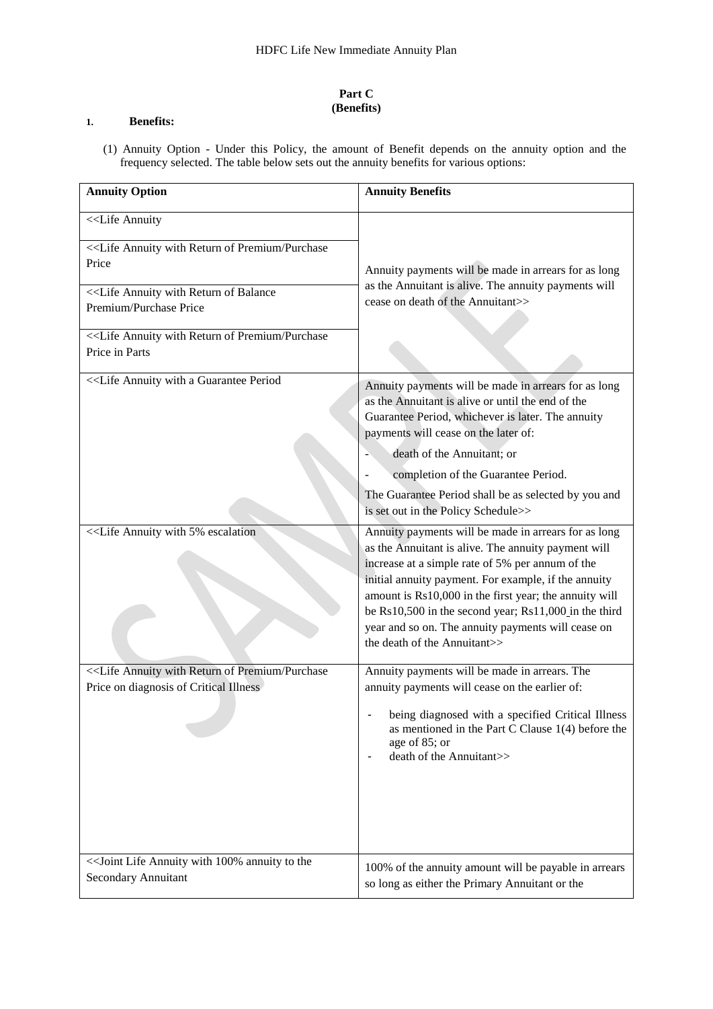# **Part C (Benefits)**

# **1. Benefits:**

(1) Annuity Option - Under this Policy, the amount of Benefit depends on the annuity option and the frequency selected. The table below sets out the annuity benefits for various options:

| <b>Annuity Option</b>                                                                                                                                                                                                                                                                                                                                                                                                                                                                                               | <b>Annuity Benefits</b>                                                                                                                                                                                                                                                                                                                                                                                                          |
|---------------------------------------------------------------------------------------------------------------------------------------------------------------------------------------------------------------------------------------------------------------------------------------------------------------------------------------------------------------------------------------------------------------------------------------------------------------------------------------------------------------------|----------------------------------------------------------------------------------------------------------------------------------------------------------------------------------------------------------------------------------------------------------------------------------------------------------------------------------------------------------------------------------------------------------------------------------|
| < <life annuity<br="">&lt;<life annuity="" of="" premium="" purchase<br="" return="" with="">Price<br/>&lt;<life annuity="" balance<br="" of="" return="" with="">Premium/Purchase Price<br/>&lt;<life annuity="" of="" premium="" purchase<br="" return="" with="">Price in Parts</life></life></life></life>                                                                                                                                                                                                      | Annuity payments will be made in arrears for as long<br>as the Annuitant is alive. The annuity payments will<br>cease on death of the Annuitant>>                                                                                                                                                                                                                                                                                |
|                                                                                                                                                                                                                                                                                                                                                                                                                                                                                                                     | Annuity payments will be made in arrears for as long<br>as the Annuitant is alive or until the end of the<br>Guarantee Period, whichever is later. The annuity<br>payments will cease on the later of:<br>death of the Annuitant; or<br>completion of the Guarantee Period.<br>The Guarantee Period shall be as selected by you and<br>is set out in the Policy Schedule>>                                                       |
| < <life 5%="" annuity="" escalation<="" td="" with=""><td>Annuity payments will be made in arrears for as long<br/>as the Annuitant is alive. The annuity payment will<br/>increase at a simple rate of 5% per annum of the<br/>initial annuity payment. For example, if the annuity<br/>amount is Rs10,000 in the first year; the annuity will<br/>be Rs10,500 in the second year; Rs11,000 in the third<br/>year and so on. The annuity payments will cease on<br/>the death of the Annuitant&gt;&gt;</td></life> | Annuity payments will be made in arrears for as long<br>as the Annuitant is alive. The annuity payment will<br>increase at a simple rate of 5% per annum of the<br>initial annuity payment. For example, if the annuity<br>amount is Rs10,000 in the first year; the annuity will<br>be Rs10,500 in the second year; Rs11,000 in the third<br>year and so on. The annuity payments will cease on<br>the death of the Annuitant>> |
| < <life annuity="" of="" premium="" purchase<br="" return="" with="">Price on diagnosis of Critical Illness</life>                                                                                                                                                                                                                                                                                                                                                                                                  | Annuity payments will be made in arrears. The<br>annuity payments will cease on the earlier of:<br>being diagnosed with a specified Critical Illness<br>as mentioned in the Part C Clause 1(4) before the<br>age of 85; or<br>death of the Annuitant>>                                                                                                                                                                           |
| << Joint Life Annuity with 100% annuity to the<br><b>Secondary Annuitant</b>                                                                                                                                                                                                                                                                                                                                                                                                                                        | 100% of the annuity amount will be payable in arrears<br>so long as either the Primary Annuitant or the                                                                                                                                                                                                                                                                                                                          |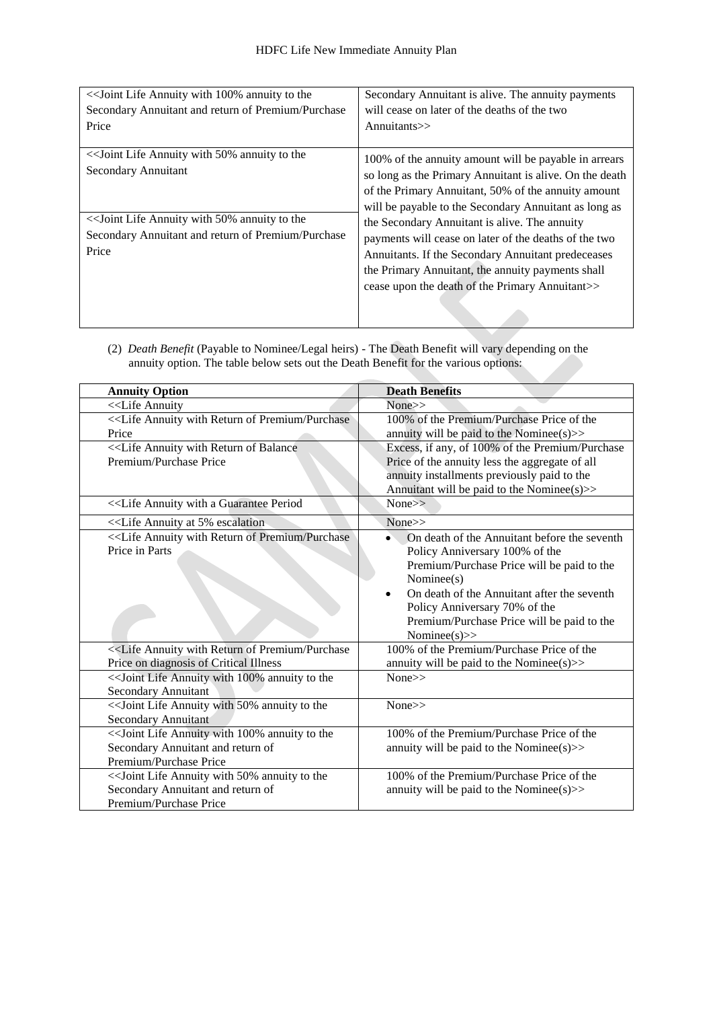| << Joint Life Annuity with 100% annuity to the                       | Secondary Annuitant is alive. The annuity payments                                                                                                                                                                               |
|----------------------------------------------------------------------|----------------------------------------------------------------------------------------------------------------------------------------------------------------------------------------------------------------------------------|
| Secondary Annuitant and return of Premium/Purchase                   | will cease on later of the deaths of the two                                                                                                                                                                                     |
| Price                                                                | Annuitants>>                                                                                                                                                                                                                     |
| << Joint Life Annuity with 50% annuity to the<br>Secondary Annuitant | 100% of the annuity amount will be payable in arrears<br>so long as the Primary Annuitant is alive. On the death<br>of the Primary Annuitant, 50% of the annuity amount<br>will be payable to the Secondary Annuitant as long as |
| << Joint Life Annuity with 50% annuity to the                        | the Secondary Annuitant is alive. The annuity                                                                                                                                                                                    |
| Secondary Annuitant and return of Premium/Purchase                   | payments will cease on later of the deaths of the two                                                                                                                                                                            |
| Price                                                                | Annuitants. If the Secondary Annuitant predeceases                                                                                                                                                                               |
|                                                                      | the Primary Annuitant, the annuity payments shall                                                                                                                                                                                |
|                                                                      | cease upon the death of the Primary Annuitant>>                                                                                                                                                                                  |
|                                                                      |                                                                                                                                                                                                                                  |

(2) *Death Benefit* (Payable to Nominee/Legal heirs) - The Death Benefit will vary depending on the annuity option. The table below sets out the Death Benefit for the various options:

| <b>Annuity Option</b>                                                                                              | <b>Death Benefits</b>                                                                                                                                                                                                                                                                        |
|--------------------------------------------------------------------------------------------------------------------|----------------------------------------------------------------------------------------------------------------------------------------------------------------------------------------------------------------------------------------------------------------------------------------------|
| < <life annuity<="" td=""><td>None&gt;&gt;</td></life>                                                             | None>>                                                                                                                                                                                                                                                                                       |
| < <life annuity="" of="" premium="" purchase<br="" return="" with="">Price</life>                                  | 100% of the Premium/Purchase Price of the<br>annuity will be paid to the Nominee(s) $>$                                                                                                                                                                                                      |
| < <life annuity="" balance<br="" of="" return="" with="">Premium/Purchase Price</life>                             | Excess, if any, of 100% of the Premium/Purchase<br>Price of the annuity less the aggregate of all<br>annuity installments previously paid to the<br>Annuitant will be paid to the Nominee(s)>>                                                                                               |
|                                                                                                                    | $None \gg$                                                                                                                                                                                                                                                                                   |
|                                                                                                                    | $None \ge$                                                                                                                                                                                                                                                                                   |
| < <life annuity="" of="" premium="" purchase<br="" return="" with="">Price in Parts</life>                         | On death of the Annuitant before the seventh<br>Policy Anniversary 100% of the<br>Premium/Purchase Price will be paid to the<br>Nominee(s)<br>On death of the Annuitant after the seventh<br>Policy Anniversary 70% of the<br>Premium/Purchase Price will be paid to the<br>Nominee $(s)$ >> |
| < <life annuity="" of="" premium="" purchase<br="" return="" with="">Price on diagnosis of Critical Illness</life> | 100% of the Premium/Purchase Price of the                                                                                                                                                                                                                                                    |
| << Joint Life Annuity with 100% annuity to the<br>Secondary Annuitant                                              | annuity will be paid to the Nominee( $s$ ) $>$<br>None>>                                                                                                                                                                                                                                     |
| << Joint Life Annuity with 50% annuity to the<br><b>Secondary Annuitant</b>                                        | None>>                                                                                                                                                                                                                                                                                       |
| << Joint Life Annuity with 100% annuity to the<br>Secondary Annuitant and return of<br>Premium/Purchase Price      | 100% of the Premium/Purchase Price of the<br>annuity will be paid to the Nominee( $s$ )>>                                                                                                                                                                                                    |
| << Joint Life Annuity with 50% annuity to the<br>Secondary Annuitant and return of<br>Premium/Purchase Price       | 100% of the Premium/Purchase Price of the<br>annuity will be paid to the Nominee(s) $>$                                                                                                                                                                                                      |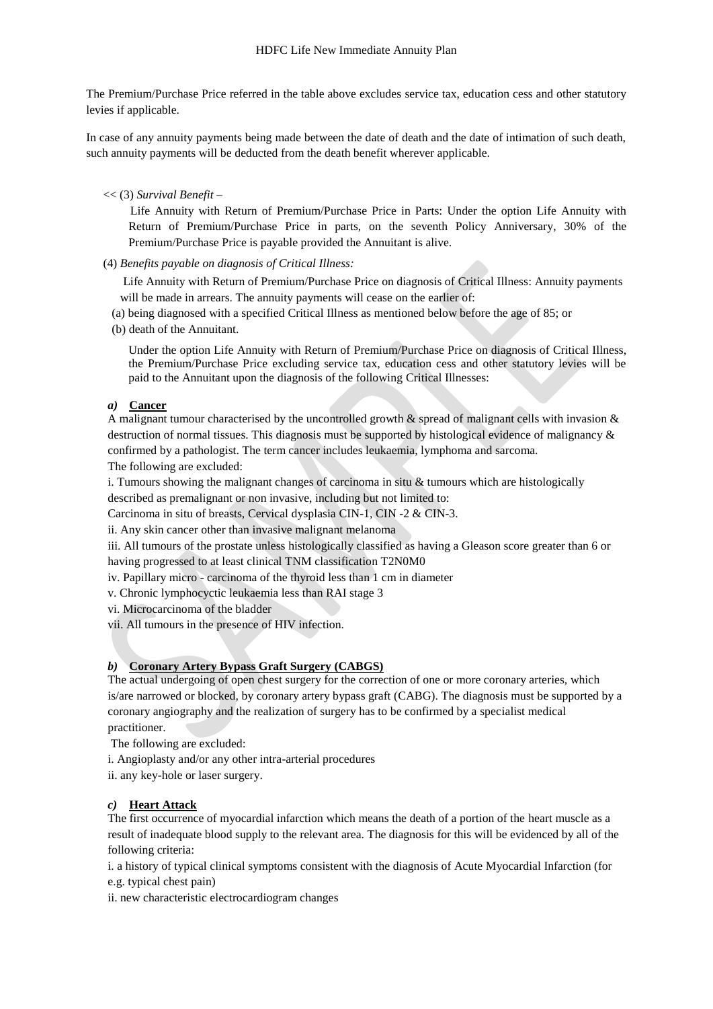The Premium/Purchase Price referred in the table above excludes service tax, education cess and other statutory levies if applicable.

In case of any annuity payments being made between the date of death and the date of intimation of such death, such annuity payments will be deducted from the death benefit wherever applicable.

# << (3) *Survival Benefit* –

 Life Annuity with Return of Premium/Purchase Price in Parts: Under the option Life Annuity with Return of Premium/Purchase Price in parts, on the seventh Policy Anniversary, 30% of the Premium/Purchase Price is payable provided the Annuitant is alive.

(4) *Benefits payable on diagnosis of Critical Illness:*

Life Annuity with Return of Premium/Purchase Price on diagnosis of Critical Illness: Annuity payments will be made in arrears. The annuity payments will cease on the earlier of:

(a) being diagnosed with a specified Critical Illness as mentioned below before the age of 85; or

(b) death of the Annuitant.

Under the option Life Annuity with Return of Premium/Purchase Price on diagnosis of Critical Illness, the Premium/Purchase Price excluding service tax, education cess and other statutory levies will be paid to the Annuitant upon the diagnosis of the following Critical Illnesses:

# *a)* **Cancer**

A malignant tumour characterised by the uncontrolled growth & spread of malignant cells with invasion & destruction of normal tissues. This diagnosis must be supported by histological evidence of malignancy & confirmed by a pathologist. The term cancer includes leukaemia, lymphoma and sarcoma.

The following are excluded:

i. Tumours showing the malignant changes of carcinoma in situ & tumours which are histologically

described as premalignant or non invasive, including but not limited to:

Carcinoma in situ of breasts, Cervical dysplasia CIN-1, CIN -2 & CIN-3.

ii. Any skin cancer other than invasive malignant melanoma

iii. All tumours of the prostate unless histologically classified as having a Gleason score greater than 6 or having progressed to at least clinical TNM classification T2N0M0

iv. Papillary micro - carcinoma of the thyroid less than 1 cm in diameter

v. Chronic lymphocyctic leukaemia less than RAI stage 3

vi. Microcarcinoma of the bladder

vii. All tumours in the presence of HIV infection.

# *b)* **Coronary Artery Bypass Graft Surgery (CABGS)**

The actual undergoing of open chest surgery for the correction of one or more coronary arteries, which is/are narrowed or blocked, by coronary artery bypass graft (CABG). The diagnosis must be supported by a coronary angiography and the realization of surgery has to be confirmed by a specialist medical practitioner.

The following are excluded:

i. Angioplasty and/or any other intra-arterial procedures

ii. any key-hole or laser surgery.

# *c)* **Heart Attack**

The first occurrence of myocardial infarction which means the death of a portion of the heart muscle as a result of inadequate blood supply to the relevant area. The diagnosis for this will be evidenced by all of the following criteria:

i. a history of typical clinical symptoms consistent with the diagnosis of Acute Myocardial Infarction (for e.g. typical chest pain)

ii. new characteristic electrocardiogram changes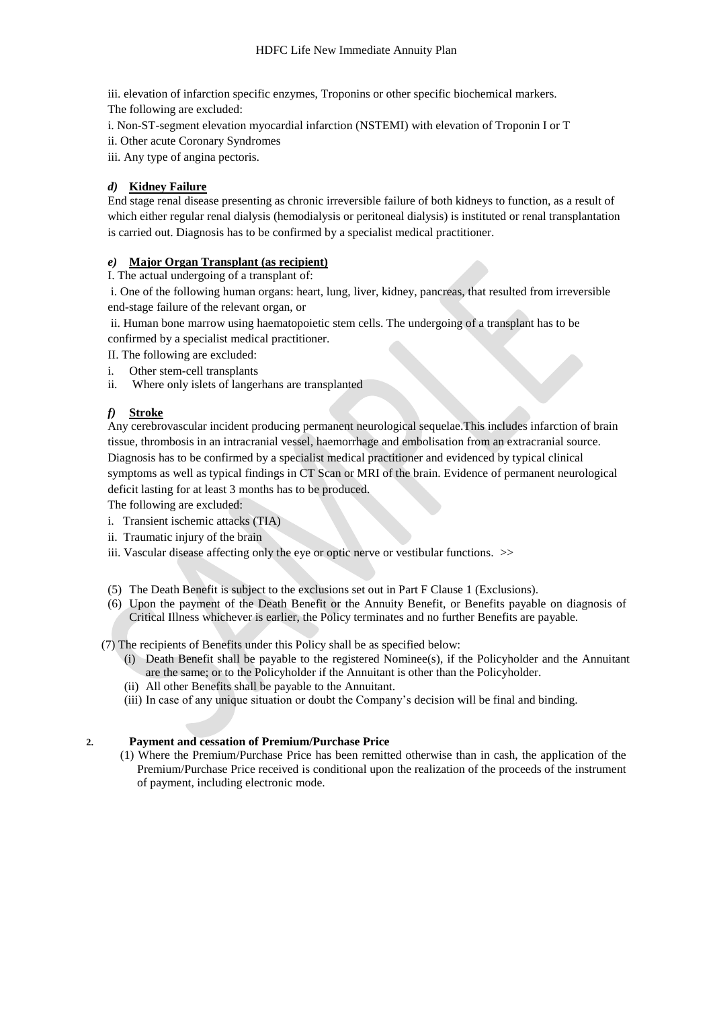iii. elevation of infarction specific enzymes, Troponins or other specific biochemical markers. The following are excluded:

i. Non-ST-segment elevation myocardial infarction (NSTEMI) with elevation of Troponin I or T

- ii. Other acute Coronary Syndromes
- iii. Any type of angina pectoris.

# *d)* **Kidney Failure**

End stage renal disease presenting as chronic irreversible failure of both kidneys to function, as a result of which either regular renal dialysis (hemodialysis or peritoneal dialysis) is instituted or renal transplantation is carried out. Diagnosis has to be confirmed by a specialist medical practitioner.

# *e)* **Major Organ Transplant (as recipient)**

I. The actual undergoing of a transplant of:

i. One of the following human organs: heart, lung, liver, kidney, pancreas, that resulted from irreversible end-stage failure of the relevant organ, or

ii. Human bone marrow using haematopoietic stem cells. The undergoing of a transplant has to be confirmed by a specialist medical practitioner.

- II. The following are excluded:
- i. Other stem-cell transplants
- ii. Where only islets of langerhans are transplanted

# *f)* **Stroke**

Any cerebrovascular incident producing permanent neurological sequelae.This includes infarction of brain tissue, thrombosis in an intracranial vessel, haemorrhage and embolisation from an extracranial source. Diagnosis has to be confirmed by a specialist medical practitioner and evidenced by typical clinical symptoms as well as typical findings in CT Scan or MRI of the brain. Evidence of permanent neurological deficit lasting for at least 3 months has to be produced.

The following are excluded:

- i.Transient ischemic attacks (TIA)
- ii. Traumatic injury of the brain
- iii. Vascular disease affecting only the eye or optic nerve or vestibular functions. >>
- (5) The Death Benefit is subject to the exclusions set out in Part F Clause 1 (Exclusions).
- (6) Upon the payment of the Death Benefit or the Annuity Benefit, or Benefits payable on diagnosis of Critical Illness whichever is earlier, the Policy terminates and no further Benefits are payable.

(7) The recipients of Benefits under this Policy shall be as specified below:

- (i) Death Benefit shall be payable to the registered Nominee(s), if the Policyholder and the Annuitant are the same; or to the Policyholder if the Annuitant is other than the Policyholder.
- (ii) All other Benefits shall be payable to the Annuitant.
- (iii) In case of any unique situation or doubt the Company's decision will be final and binding.

# **2. Payment and cessation of Premium/Purchase Price**

(1) Where the Premium/Purchase Price has been remitted otherwise than in cash, the application of the Premium/Purchase Price received is conditional upon the realization of the proceeds of the instrument of payment, including electronic mode.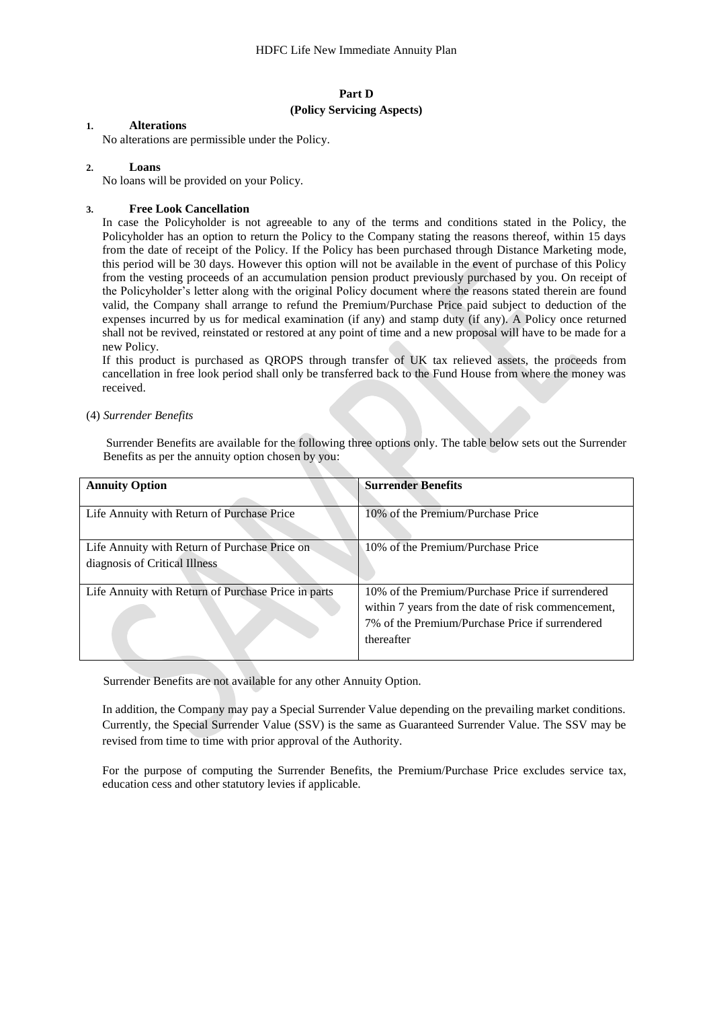# **Part D (Policy Servicing Aspects)**

# **1. Alterations**

No alterations are permissible under the Policy.

## **2. Loans**

No loans will be provided on your Policy.

#### **3. Free Look Cancellation**

In case the Policyholder is not agreeable to any of the terms and conditions stated in the Policy, the Policyholder has an option to return the Policy to the Company stating the reasons thereof, within 15 days from the date of receipt of the Policy. If the Policy has been purchased through Distance Marketing mode, this period will be 30 days. However this option will not be available in the event of purchase of this Policy from the vesting proceeds of an accumulation pension product previously purchased by you. On receipt of the Policyholder's letter along with the original Policy document where the reasons stated therein are found valid, the Company shall arrange to refund the Premium/Purchase Price paid subject to deduction of the expenses incurred by us for medical examination (if any) and stamp duty (if any). A Policy once returned shall not be revived, reinstated or restored at any point of time and a new proposal will have to be made for a new Policy.

If this product is purchased as QROPS through transfer of UK tax relieved assets, the proceeds from cancellation in free look period shall only be transferred back to the Fund House from where the money was received.

#### (4) *Surrender Benefits*

Surrender Benefits are available for the following three options only. The table below sets out the Surrender Benefits as per the annuity option chosen by you:

| <b>Annuity Option</b>                               | <b>Surrender Benefits</b>                          |
|-----------------------------------------------------|----------------------------------------------------|
|                                                     |                                                    |
| Life Annuity with Return of Purchase Price          | 10% of the Premium/Purchase Price                  |
|                                                     |                                                    |
| Life Annuity with Return of Purchase Price on       | 10% of the Premium/Purchase Price                  |
| diagnosis of Critical Illness                       |                                                    |
|                                                     |                                                    |
| Life Annuity with Return of Purchase Price in parts | 10% of the Premium/Purchase Price if surrendered   |
|                                                     | within 7 years from the date of risk commencement, |
|                                                     | 7% of the Premium/Purchase Price if surrendered    |
|                                                     | thereafter                                         |
|                                                     |                                                    |

Surrender Benefits are not available for any other Annuity Option.

In addition, the Company may pay a Special Surrender Value depending on the prevailing market conditions. Currently, the Special Surrender Value (SSV) is the same as Guaranteed Surrender Value. The SSV may be revised from time to time with prior approval of the Authority.

For the purpose of computing the Surrender Benefits, the Premium/Purchase Price excludes service tax, education cess and other statutory levies if applicable.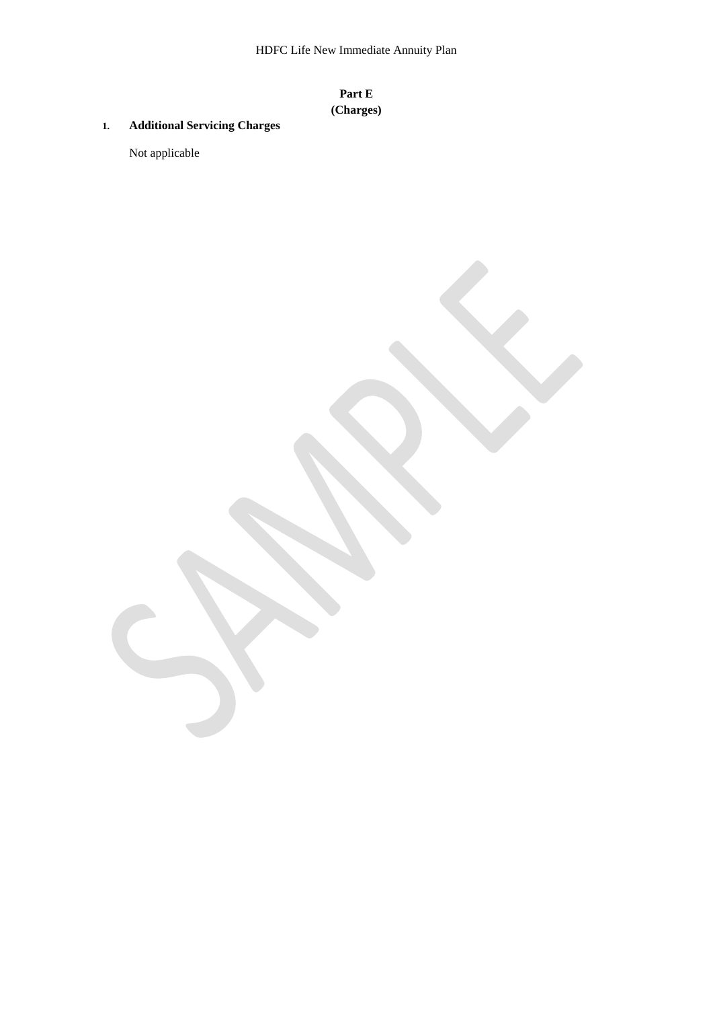# **Part E (Charges)**

# **1. Additional Servicing Charges**

Not applicable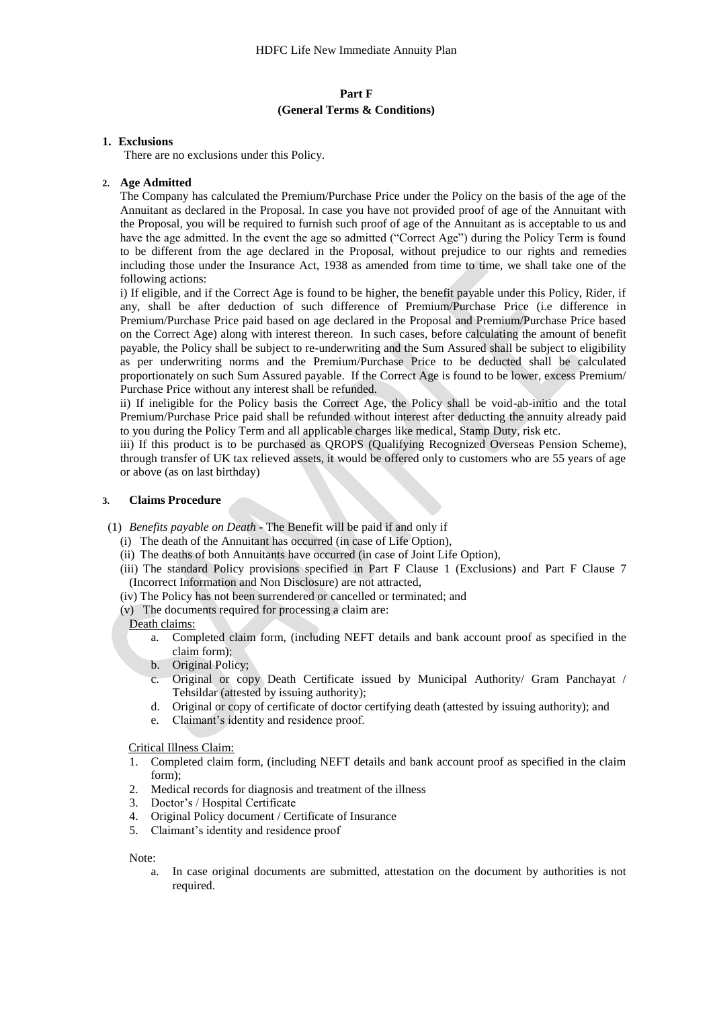# **Part F (General Terms & Conditions)**

#### **1. Exclusions**

There are no exclusions under this Policy.

#### **2. Age Admitted**

The Company has calculated the Premium/Purchase Price under the Policy on the basis of the age of the Annuitant as declared in the Proposal. In case you have not provided proof of age of the Annuitant with the Proposal, you will be required to furnish such proof of age of the Annuitant as is acceptable to us and have the age admitted. In the event the age so admitted ("Correct Age") during the Policy Term is found to be different from the age declared in the Proposal, without prejudice to our rights and remedies including those under the Insurance Act, 1938 as amended from time to time, we shall take one of the following actions:

i) If eligible, and if the Correct Age is found to be higher, the benefit payable under this Policy, Rider, if any, shall be after deduction of such difference of Premium/Purchase Price (i.e difference in Premium/Purchase Price paid based on age declared in the Proposal and Premium/Purchase Price based on the Correct Age) along with interest thereon. In such cases, before calculating the amount of benefit payable, the Policy shall be subject to re-underwriting and the Sum Assured shall be subject to eligibility as per underwriting norms and the Premium/Purchase Price to be deducted shall be calculated proportionately on such Sum Assured payable. If the Correct Age is found to be lower, excess Premium/ Purchase Price without any interest shall be refunded.

ii) If ineligible for the Policy basis the Correct Age, the Policy shall be void-ab-initio and the total Premium/Purchase Price paid shall be refunded without interest after deducting the annuity already paid to you during the Policy Term and all applicable charges like medical, Stamp Duty, risk etc.

iii) If this product is to be purchased as QROPS (Qualifying Recognized Overseas Pension Scheme), through transfer of UK tax relieved assets, it would be offered only to customers who are 55 years of age or above (as on last birthday)

#### **3. Claims Procedure**

(1) *Benefits payable on Death -* The Benefit will be paid if and only if

- (i) The death of the Annuitant has occurred (in case of Life Option),
- (ii) The deaths of both Annuitants have occurred (in case of Joint Life Option),
- (iii) The standard Policy provisions specified in Part F Clause 1 (Exclusions) and Part F Clause 7 (Incorrect Information and Non Disclosure) are not attracted,
- (iv) The Policy has not been surrendered or cancelled or terminated; and
- (v) The documents required for processing a claim are:

#### Death claims:

- a. Completed claim form, (including NEFT details and bank account proof as specified in the claim form);
- b. Original Policy;
- Original or copy Death Certificate issued by Municipal Authority/ Gram Panchayat / Tehsildar (attested by issuing authority);
- d. Original or copy of certificate of doctor certifying death (attested by issuing authority); and
- e. Claimant's identity and residence proof.

#### Critical Illness Claim:

- 1. Completed claim form, (including NEFT details and bank account proof as specified in the claim form);
- 2. Medical records for diagnosis and treatment of the illness
- 3. Doctor's / Hospital Certificate
- 4. Original Policy document / Certificate of Insurance
- 5. Claimant's identity and residence proof

#### Note:

a. In case original documents are submitted, attestation on the document by authorities is not required.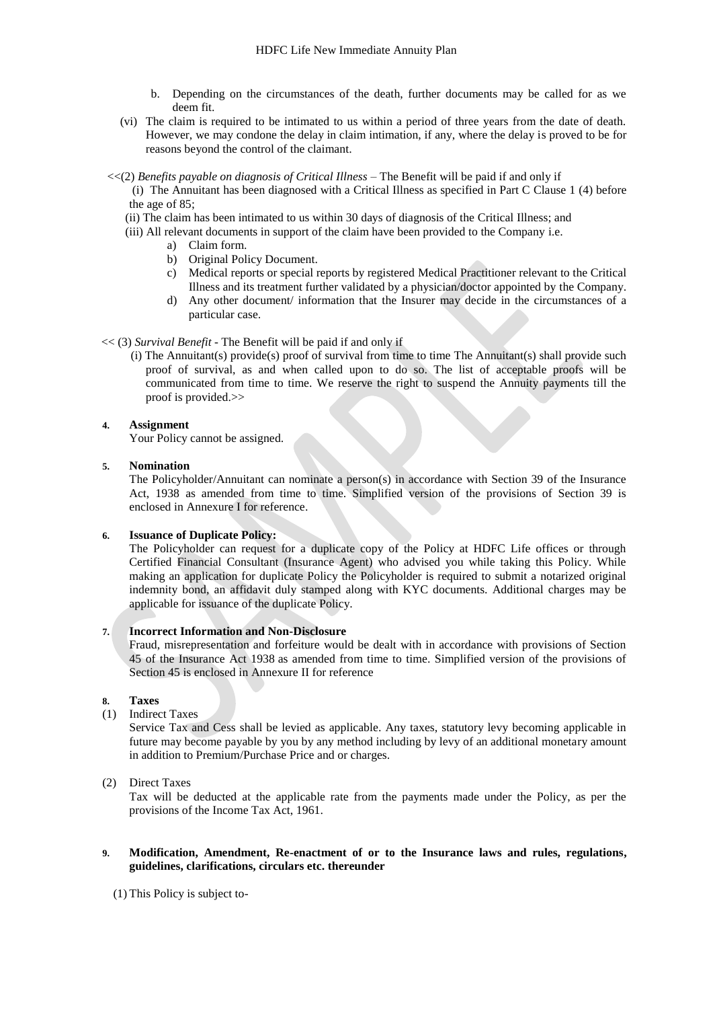- b. Depending on the circumstances of the death, further documents may be called for as we deem fit.
- (vi) The claim is required to be intimated to us within a period of three years from the date of death. However, we may condone the delay in claim intimation, if any, where the delay is proved to be for reasons beyond the control of the claimant.
- <<(2) *Benefits payable on diagnosis of Critical Illness –* The Benefit will be paid if and only if
	- (i) The Annuitant has been diagnosed with a Critical Illness as specified in Part C Clause 1 (4) before the age of 85;
	- (ii) The claim has been intimated to us within 30 days of diagnosis of the Critical Illness; and
	- (iii) All relevant documents in support of the claim have been provided to the Company i.e.
		- a) Claim form.
			- b) Original Policy Document.
			- c) Medical reports or special reports by registered Medical Practitioner relevant to the Critical Illness and its treatment further validated by a physician/doctor appointed by the Company.
			- d) Any other document/ information that the Insurer may decide in the circumstances of a particular case.

#### << (3) *Survival Benefit -* The Benefit will be paid if and only if

 (i) The Annuitant(s) provide(s) proof of survival from time to time The Annuitant(s) shall provide such proof of survival, as and when called upon to do so. The list of acceptable proofs will be communicated from time to time. We reserve the right to suspend the Annuity payments till the proof is provided.>>

#### **4. Assignment**

Your Policy cannot be assigned.

#### **5. Nomination**

The Policyholder/Annuitant can nominate a person(s) in accordance with Section 39 of the Insurance Act, 1938 as amended from time to time. Simplified version of the provisions of Section 39 is enclosed in Annexure I for reference.

## **6. Issuance of Duplicate Policy:**

The Policyholder can request for a duplicate copy of the Policy at HDFC Life offices or through Certified Financial Consultant (Insurance Agent) who advised you while taking this Policy. While making an application for duplicate Policy the Policyholder is required to submit a notarized original indemnity bond, an affidavit duly stamped along with KYC documents. Additional charges may be applicable for issuance of the duplicate Policy.

#### **7. Incorrect Information and Non-Disclosure**

Fraud, misrepresentation and forfeiture would be dealt with in accordance with provisions of Section 45 of the Insurance Act 1938 as amended from time to time. Simplified version of the provisions of Section 45 is enclosed in Annexure II for reference

# **8. Taxes**

(1) Indirect Taxes

Service Tax and Cess shall be levied as applicable. Any taxes, statutory levy becoming applicable in future may become payable by you by any method including by levy of an additional monetary amount in addition to Premium/Purchase Price and or charges.

(2) Direct Taxes

Tax will be deducted at the applicable rate from the payments made under the Policy, as per the provisions of the Income Tax Act, 1961.

#### **9. Modification, Amendment, Re-enactment of or to the Insurance laws and rules, regulations, guidelines, clarifications, circulars etc. thereunder**

(1) This Policy is subject to-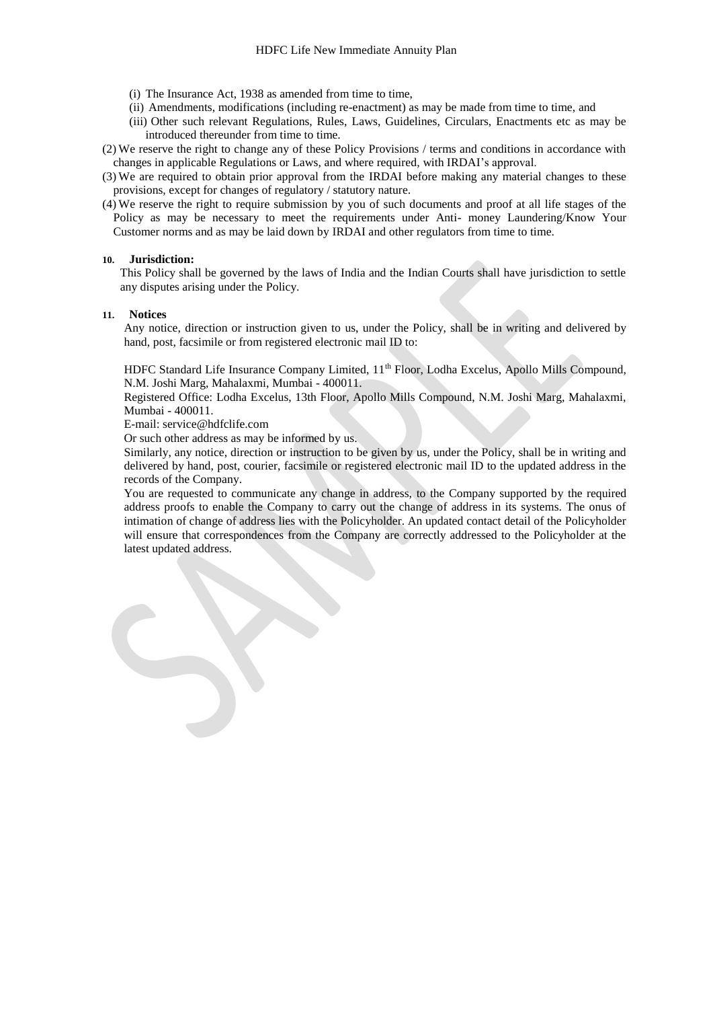- (i) The Insurance Act, 1938 as amended from time to time,
- (ii) Amendments, modifications (including re-enactment) as may be made from time to time, and
- (iii) Other such relevant Regulations, Rules, Laws, Guidelines, Circulars, Enactments etc as may be introduced thereunder from time to time.
- (2) We reserve the right to change any of these Policy Provisions / terms and conditions in accordance with changes in applicable Regulations or Laws, and where required, with IRDAI's approval.
- (3) We are required to obtain prior approval from the IRDAI before making any material changes to these provisions, except for changes of regulatory / statutory nature.
- (4) We reserve the right to require submission by you of such documents and proof at all life stages of the Policy as may be necessary to meet the requirements under Anti- money Laundering/Know Your Customer norms and as may be laid down by IRDAI and other regulators from time to time.

#### **10. Jurisdiction:**

This Policy shall be governed by the laws of India and the Indian Courts shall have jurisdiction to settle any disputes arising under the Policy.

#### **11. Notices**

Any notice, direction or instruction given to us, under the Policy, shall be in writing and delivered by hand, post, facsimile or from registered electronic mail ID to:

HDFC Standard Life Insurance Company Limited, 11<sup>th</sup> Floor, Lodha Excelus, Apollo Mills Compound, N.M. Joshi Marg, Mahalaxmi, Mumbai - 400011.

Registered Office: Lodha Excelus, 13th Floor, Apollo Mills Compound, N.M. Joshi Marg, Mahalaxmi, Mumbai - 400011.

E-mail: service@hdfclife.com

Or such other address as may be informed by us.

Similarly, any notice, direction or instruction to be given by us, under the Policy, shall be in writing and delivered by hand, post, courier, facsimile or registered electronic mail ID to the updated address in the records of the Company.

You are requested to communicate any change in address, to the Company supported by the required address proofs to enable the Company to carry out the change of address in its systems. The onus of intimation of change of address lies with the Policyholder. An updated contact detail of the Policyholder will ensure that correspondences from the Company are correctly addressed to the Policyholder at the latest updated address.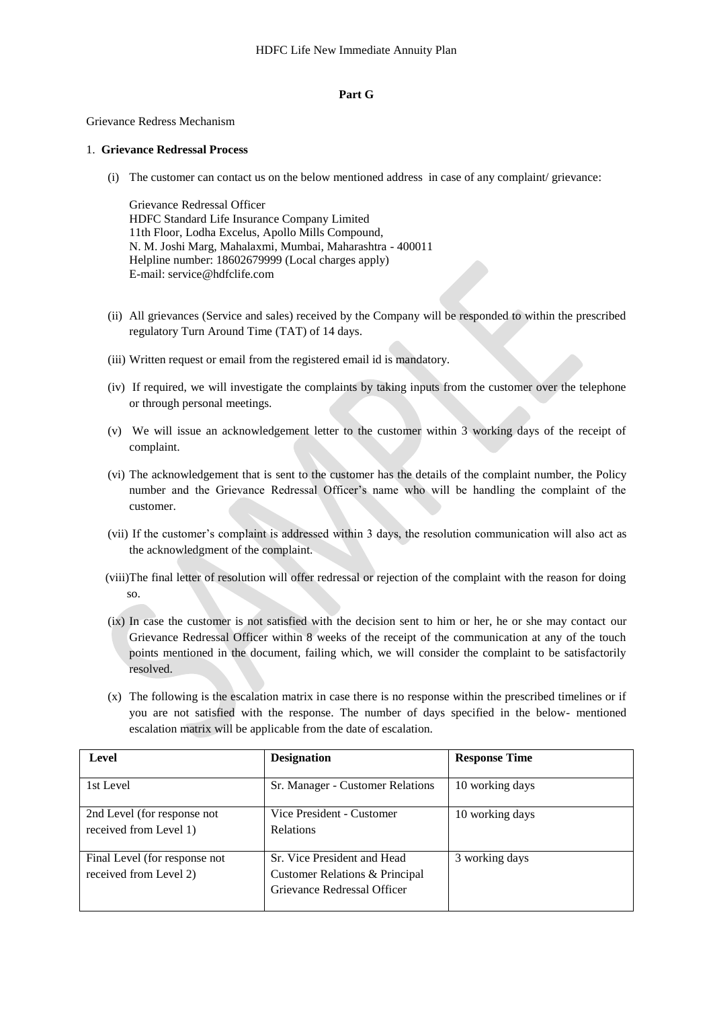#### **Part G**

#### Grievance Redress Mechanism

# 1. **Grievance Redressal Process**

(i) The customer can contact us on the below mentioned address in case of any complaint/ grievance:

Grievance Redressal Officer HDFC Standard Life Insurance Company Limited 11th Floor, Lodha Excelus, Apollo Mills Compound, N. M. Joshi Marg, Mahalaxmi, Mumbai, Maharashtra - 400011 Helpline number: 18602679999 (Local charges apply) E-mail: service@hdfclife.com

- (ii) All grievances (Service and sales) received by the Company will be responded to within the prescribed regulatory Turn Around Time (TAT) of 14 days.
- (iii) Written request or email from the registered email id is mandatory.
- (iv) If required, we will investigate the complaints by taking inputs from the customer over the telephone or through personal meetings.
- (v) We will issue an acknowledgement letter to the customer within 3 working days of the receipt of complaint.
- (vi) The acknowledgement that is sent to the customer has the details of the complaint number, the Policy number and the Grievance Redressal Officer's name who will be handling the complaint of the customer.
- (vii) If the customer's complaint is addressed within 3 days, the resolution communication will also act as the acknowledgment of the complaint.
- (viii)The final letter of resolution will offer redressal or rejection of the complaint with the reason for doing so.
- (ix) In case the customer is not satisfied with the decision sent to him or her, he or she may contact our Grievance Redressal Officer within 8 weeks of the receipt of the communication at any of the touch points mentioned in the document, failing which, we will consider the complaint to be satisfactorily resolved.
- (x) The following is the escalation matrix in case there is no response within the prescribed timelines or if you are not satisfied with the response. The number of days specified in the below- mentioned escalation matrix will be applicable from the date of escalation.

| Level                                                   | <b>Designation</b>                                                                           | <b>Response Time</b> |
|---------------------------------------------------------|----------------------------------------------------------------------------------------------|----------------------|
| 1st Level                                               | Sr. Manager - Customer Relations                                                             | 10 working days      |
| 2nd Level (for response not<br>received from Level 1)   | Vice President - Customer<br><b>Relations</b>                                                | 10 working days      |
| Final Level (for response not<br>received from Level 2) | Sr. Vice President and Head<br>Customer Relations & Principal<br>Grievance Redressal Officer | 3 working days       |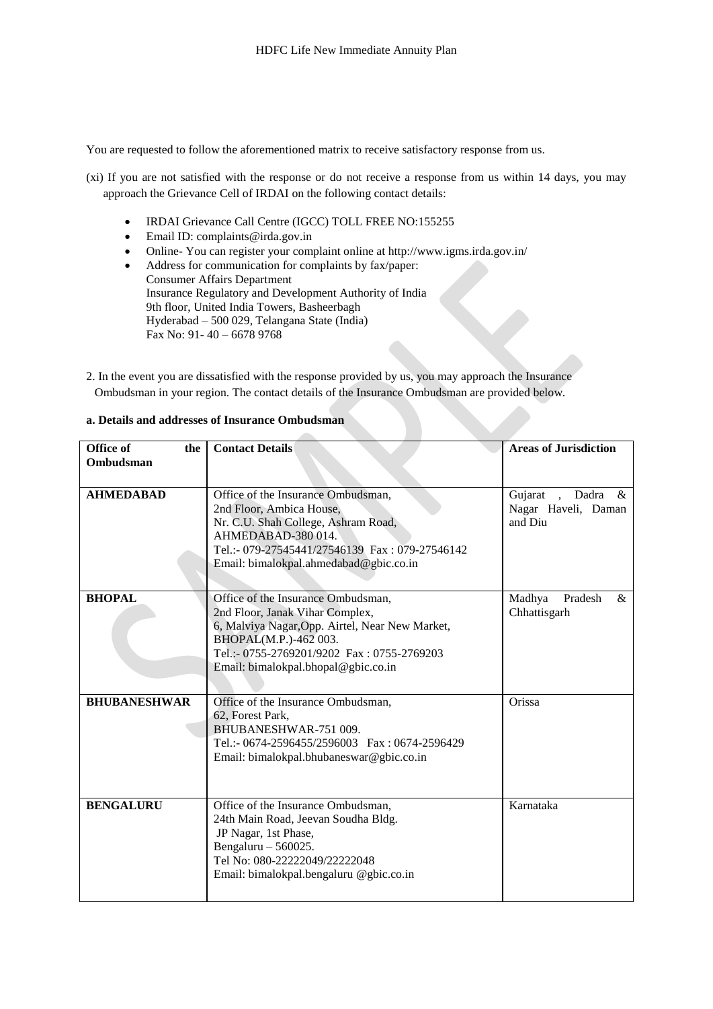You are requested to follow the aforementioned matrix to receive satisfactory response from us.

- (xi) If you are not satisfied with the response or do not receive a response from us within 14 days, you may approach the Grievance Cell of IRDAI on the following contact details:
	- IRDAI Grievance Call Centre (IGCC) TOLL FREE NO:155255
	- $\bullet$  Email ID: complaints@irda.gov.in
	- Online- You can register your complaint online at http://www.igms.irda.gov.in/
	- Address for communication for complaints by fax/paper:
	- Consumer Affairs Department Insurance Regulatory and Development Authority of India 9th floor, United India Towers, Basheerbagh Hyderabad – 500 029, Telangana State (India) Fax No: 91- 40 – 6678 9768
- 2. In the event you are dissatisfied with the response provided by us, you may approach the Insurance Ombudsman in your region. The contact details of the Insurance Ombudsman are provided below.

| Office of<br>the<br>Ombudsman | <b>Contact Details</b>                                                                                                                                                                                                                 | <b>Areas of Jurisdiction</b>                        |
|-------------------------------|----------------------------------------------------------------------------------------------------------------------------------------------------------------------------------------------------------------------------------------|-----------------------------------------------------|
|                               |                                                                                                                                                                                                                                        |                                                     |
| <b>AHMEDABAD</b>              | Office of the Insurance Ombudsman,<br>2nd Floor, Ambica House,<br>Nr. C.U. Shah College, Ashram Road,<br>AHMEDABAD-380014.<br>Tel.:- 079-27545441/27546139 Fax: 079-27546142<br>Email: bimalokpal.ahmedabad@gbic.co.in                 | Gujarat , Dadra &<br>Nagar Haveli, Daman<br>and Diu |
| <b>BHOPAL</b>                 | Office of the Insurance Ombudsman,<br>2nd Floor, Janak Vihar Complex,<br>6, Malviya Nagar, Opp. Airtel, Near New Market,<br>BHOPAL(M.P.)-462 003.<br>Tel.:- 0755-2769201/9202 Fax: 0755-2769203<br>Email: bimalokpal.bhopal@gbic.co.in | Madhya<br>Pradesh<br>$\&$<br>Chhattisgarh           |
| <b>BHUBANESHWAR</b>           | Office of the Insurance Ombudsman,<br>62, Forest Park,<br>BHUBANESHWAR-751 009.<br>Tel.:- 0674-2596455/2596003 Fax: 0674-2596429<br>Email: bimalokpal.bhubaneswar@gbic.co.in                                                           | Orissa                                              |
| <b>BENGALURU</b>              | Office of the Insurance Ombudsman,<br>24th Main Road, Jeevan Soudha Bldg.<br>JP Nagar, 1st Phase,<br>Bengaluru $-560025$ .<br>Tel No: 080-22222049/22222048<br>Email: bimalokpal.bengaluru @gbic.co.in                                 | Karnataka                                           |

# **a. Details and addresses of Insurance Ombudsman**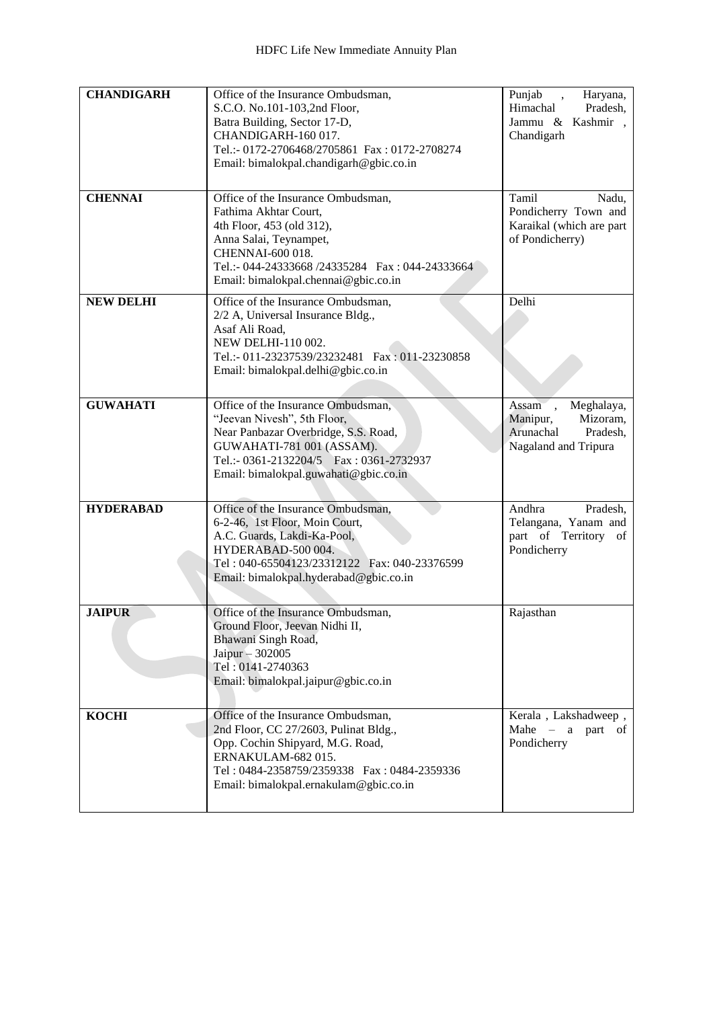| <b>CHANDIGARH</b> | Office of the Insurance Ombudsman,<br>S.C.O. No.101-103,2nd Floor,<br>Batra Building, Sector 17-D,<br>CHANDIGARH-160 017.<br>Tel.:- 0172-2706468/2705861 Fax: 0172-2708274<br>Email: bimalokpal.chandigarh@gbic.co.in              | Punjab<br>Haryana,<br>$\ddot{\phantom{0}}$<br>Himachal<br>Pradesh,<br>Jammu & Kashmir,<br>Chandigarh |
|-------------------|------------------------------------------------------------------------------------------------------------------------------------------------------------------------------------------------------------------------------------|------------------------------------------------------------------------------------------------------|
| <b>CHENNAI</b>    | Office of the Insurance Ombudsman,<br>Fathima Akhtar Court,<br>4th Floor, 453 (old 312),<br>Anna Salai, Teynampet,<br>CHENNAI-600 018.<br>Tel.:- 044-24333668 /24335284  Fax: 044-24333664<br>Email: bimalokpal.chennai@gbic.co.in | Tamil<br>Nadu,<br>Pondicherry Town and<br>Karaikal (which are part<br>of Pondicherry)                |
| <b>NEW DELHI</b>  | Office of the Insurance Ombudsman,<br>2/2 A, Universal Insurance Bldg.,<br>Asaf Ali Road,<br>NEW DELHI-110 002.<br>Tel.:- 011-23237539/23232481   Fax: 011-23230858<br>Email: bimalokpal.delhi@gbic.co.in                          | Delhi                                                                                                |
| <b>GUWAHATI</b>   | Office of the Insurance Ombudsman,<br>"Jeevan Nivesh", 5th Floor,<br>Near Panbazar Overbridge, S.S. Road,<br>GUWAHATI-781 001 (ASSAM).<br>Tel.:- 0361-2132204/5   Fax: 0361-2732937<br>Email: bimalokpal.guwahati@gbic.co.in       | Meghalaya,<br>Assam,<br>Mizoram,<br>Manipur,<br>Arunachal<br>Pradesh,<br>Nagaland and Tripura        |
| <b>HYDERABAD</b>  | Office of the Insurance Ombudsman,<br>6-2-46, 1st Floor, Moin Court,<br>A.C. Guards, Lakdi-Ka-Pool,<br>HYDERABAD-500 004.<br>Tel: 040-65504123/23312122  Fax: 040-23376599<br>Email: bimalokpal.hyderabad@gbic.co.in               | Andhra<br>Pradesh,<br>Telangana, Yanam and<br>part of Territory of<br>Pondicherry                    |
| <b>JAIPUR</b>     | Office of the Insurance Ombudsman,<br>Ground Floor, Jeevan Nidhi II,<br>Bhawani Singh Road,<br>Jaipur $-302005$<br>Tel: 0141-2740363<br>Email: bimalokpal.jaipur@gbic.co.in                                                        | Rajasthan                                                                                            |
| <b>KOCHI</b>      | Office of the Insurance Ombudsman,<br>2nd Floor, CC 27/2603, Pulinat Bldg.,<br>Opp. Cochin Shipyard, M.G. Road,<br>ERNAKULAM-682015.<br>Tel: 0484-2358759/2359338  Fax: 0484-2359336<br>Email: bimalokpal.ernakulam@gbic.co.in     | Kerala, Lakshadweep,<br>Mahe $-$ a part of<br>Pondicherry                                            |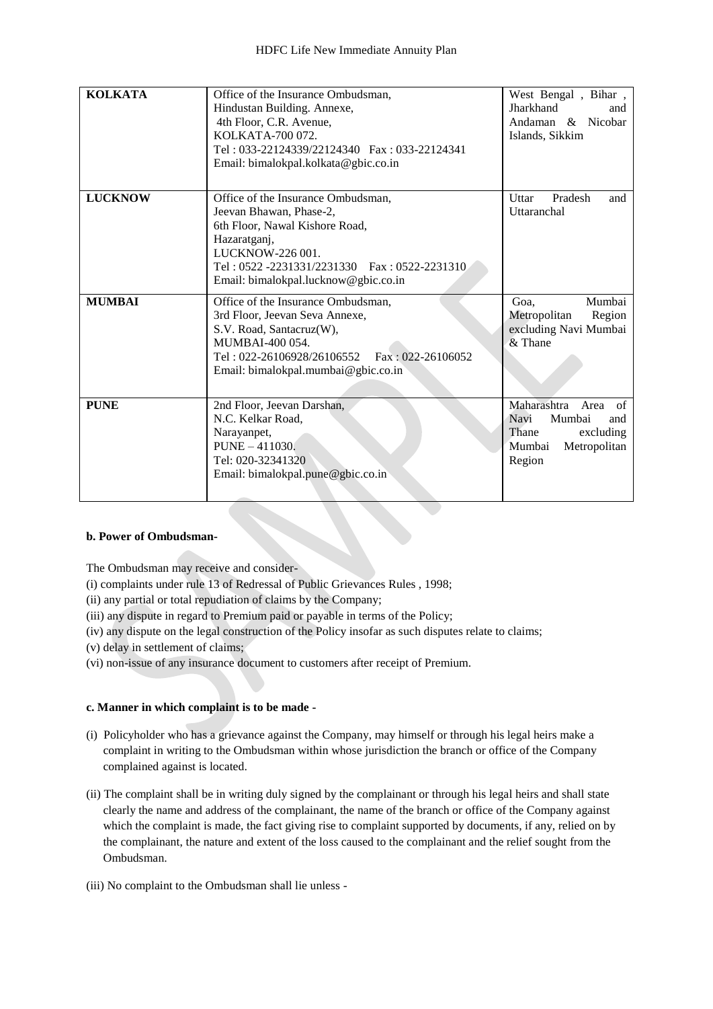| <b>KOLKATA</b> | Office of the Insurance Ombudsman,<br>Hindustan Building. Annexe,<br>4th Floor, C.R. Avenue,<br>KOLKATA-700 072.<br>Tel: 033-22124339/22124340  Fax: 033-22124341<br>Email: bimalokpal.kolkata@gbic.co.in                   | West Bengal, Bihar,<br>Jharkhand<br>and<br>Andaman & Nicobar<br>Islands, Sikkim                              |
|----------------|-----------------------------------------------------------------------------------------------------------------------------------------------------------------------------------------------------------------------------|--------------------------------------------------------------------------------------------------------------|
| <b>LUCKNOW</b> | Office of the Insurance Ombudsman.<br>Jeevan Bhawan, Phase-2,<br>6th Floor, Nawal Kishore Road,<br>Hazaratganj,<br>LUCKNOW-226 001.<br>Tel: 0522 -2231331/2231330 Fax: 0522-2231310<br>Email: bimalokpal.lucknow@gbic.co.in | Uttar<br>Pradesh<br>and<br>Uttaranchal                                                                       |
| <b>MUMBAI</b>  | Office of the Insurance Ombudsman,<br>3rd Floor, Jeevan Seva Annexe,<br>S.V. Road, Santacruz(W),<br>MUMBAI-400 054<br>Tel: 022-26106928/26106552    Fax: 022-26106052<br>Email: bimalokpal.mumbai@gbic.co.in                | Mumbai<br>Goa.<br>Metropolitan<br>Region<br>excluding Navi Mumbai<br>& Thane                                 |
| <b>PUNE</b>    | 2nd Floor, Jeevan Darshan,<br>N.C. Kelkar Road,<br>Narayanpet,<br>$PUNE - 411030.$<br>Tel: 020-32341320<br>Email: bimalokpal.pune@gbic.co.in                                                                                | Maharashtra<br>Area<br>of<br>Mumbai<br>Navi<br>and<br>Thane<br>excluding<br>Mumbai<br>Metropolitan<br>Region |

# **b. Power of Ombudsman-**

The Ombudsman may receive and consider-

- [\(i\)](http://indiankanoon.org/doc/160521836/) complaints under rule 13 of Redressal of Public Grievances Rules , 1998;
- [\(ii\)](http://indiankanoon.org/doc/156757242/) any partial or total repudiation of claims by the Company;
- [\(iii\)](http://indiankanoon.org/doc/163591613/) any dispute in regard to Premium paid or payable in terms of the Policy;
- [\(iv\)](http://indiankanoon.org/doc/31367799/) any dispute on the legal construction of the Policy insofar as such disputes relate to claims;
- [\(v\)](http://indiankanoon.org/doc/26463888/) delay in settlement of claims;
- [\(vi\)](http://indiankanoon.org/doc/47238858/) non-issue of any insurance document to customers after receipt of Premium.

# **c. Manner in which complaint is to be made -**

- [\(i\)](http://indiankanoon.org/doc/160481793/) Policyholder who has a grievance against the Company, may himself or through his legal heirs make a complaint in writing to the Ombudsman within whose jurisdiction the branch or office of the Company complained against is located.
- [\(ii\)](http://indiankanoon.org/doc/116915928/) The complaint shall be in writing duly signed by the complainant or through his legal heirs and shall state clearly the name and address of the complainant, the name of the branch or office of the Company against which the complaint is made, the fact giving rise to complaint supported by documents, if any, relied on by the complainant, the nature and extent of the loss caused to the complainant and the relief sought from the Ombudsman.
- [\(iii\)](http://indiankanoon.org/doc/99464357/) No complaint to the Ombudsman shall lie unless -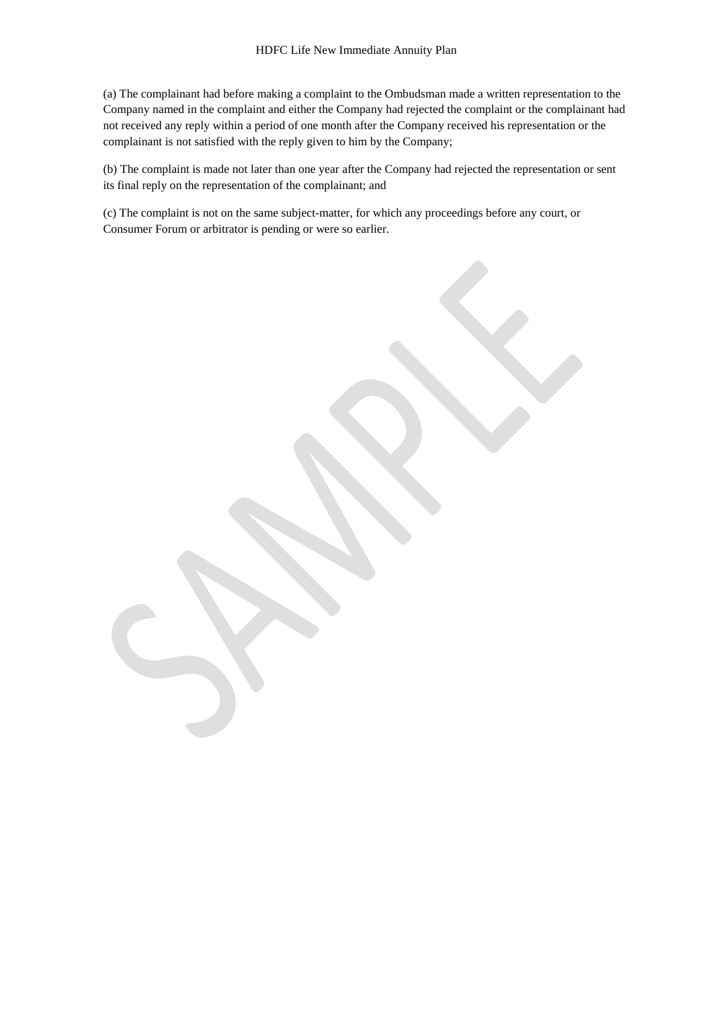[\(a\)](http://indiankanoon.org/doc/87794950/) The complainant had before making a complaint to the Ombudsman made a written representation to the Company named in the complaint and either the Company had rejected the complaint or the complainant had not received any reply within a period of one month after the Company received his representation or the complainant is not satisfied with the reply given to him by the Company;

[\(b\)](http://indiankanoon.org/doc/84880221/) The complaint is made not later than one year after the Company had rejected the representation or sent its final reply on the representation of the complainant; and

[\(c\)](http://indiankanoon.org/doc/116794480/) The complaint is not on the same subject-matter, for which any proceedings before any court, or Consumer Forum or arbitrator is pending or were so earlier.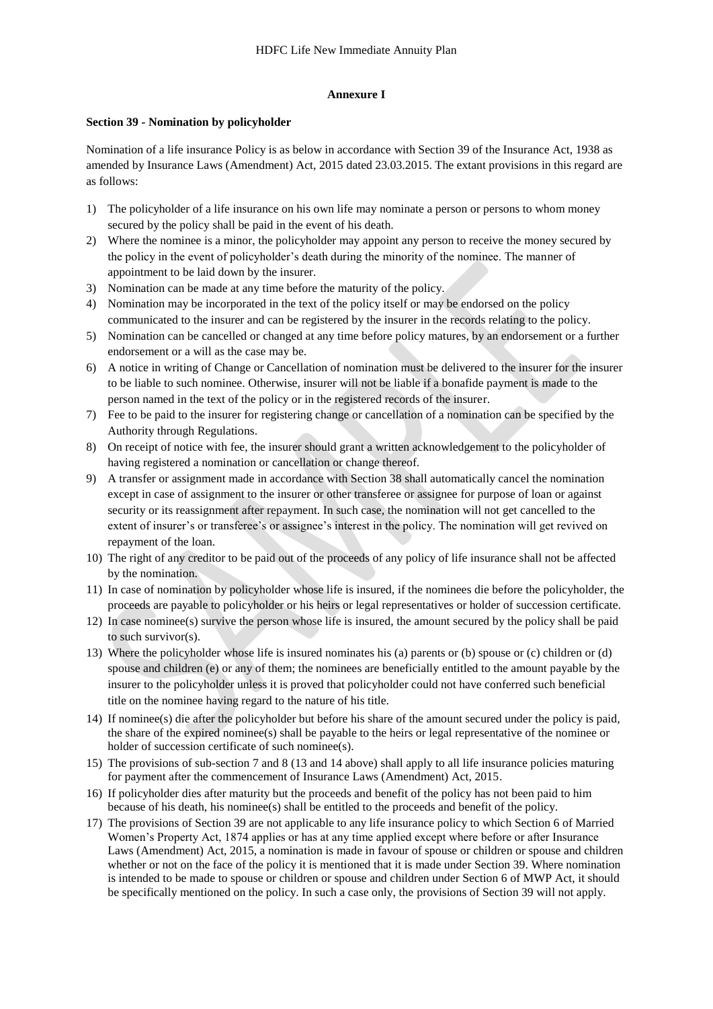#### **Annexure I**

#### **Section 39 - Nomination by policyholder**

Nomination of a life insurance Policy is as below in accordance with Section 39 of the Insurance Act, 1938 as amended by Insurance Laws (Amendment) Act, 2015 dated 23.03.2015. The extant provisions in this regard are as follows:

- 1) The policyholder of a life insurance on his own life may nominate a person or persons to whom money secured by the policy shall be paid in the event of his death.
- 2) Where the nominee is a minor, the policyholder may appoint any person to receive the money secured by the policy in the event of policyholder's death during the minority of the nominee. The manner of appointment to be laid down by the insurer.
- 3) Nomination can be made at any time before the maturity of the policy.
- 4) Nomination may be incorporated in the text of the policy itself or may be endorsed on the policy communicated to the insurer and can be registered by the insurer in the records relating to the policy.
- 5) Nomination can be cancelled or changed at any time before policy matures, by an endorsement or a further endorsement or a will as the case may be.
- 6) A notice in writing of Change or Cancellation of nomination must be delivered to the insurer for the insurer to be liable to such nominee. Otherwise, insurer will not be liable if a bonafide payment is made to the person named in the text of the policy or in the registered records of the insurer.
- 7) Fee to be paid to the insurer for registering change or cancellation of a nomination can be specified by the Authority through Regulations.
- 8) On receipt of notice with fee, the insurer should grant a written acknowledgement to the policyholder of having registered a nomination or cancellation or change thereof.
- 9) A transfer or assignment made in accordance with Section 38 shall automatically cancel the nomination except in case of assignment to the insurer or other transferee or assignee for purpose of loan or against security or its reassignment after repayment. In such case, the nomination will not get cancelled to the extent of insurer's or transferee's or assignee's interest in the policy. The nomination will get revived on repayment of the loan.
- 10) The right of any creditor to be paid out of the proceeds of any policy of life insurance shall not be affected by the nomination.
- 11) In case of nomination by policyholder whose life is insured, if the nominees die before the policyholder, the proceeds are payable to policyholder or his heirs or legal representatives or holder of succession certificate.
- 12) In case nominee(s) survive the person whose life is insured, the amount secured by the policy shall be paid to such survivor(s).
- 13) Where the policyholder whose life is insured nominates his (a) parents or (b) spouse or (c) children or (d) spouse and children (e) or any of them; the nominees are beneficially entitled to the amount payable by the insurer to the policyholder unless it is proved that policyholder could not have conferred such beneficial title on the nominee having regard to the nature of his title.
- 14) If nominee(s) die after the policyholder but before his share of the amount secured under the policy is paid, the share of the expired nominee(s) shall be payable to the heirs or legal representative of the nominee or holder of succession certificate of such nominee(s).
- 15) The provisions of sub-section 7 and 8 (13 and 14 above) shall apply to all life insurance policies maturing for payment after the commencement of Insurance Laws (Amendment) Act, 2015.
- 16) If policyholder dies after maturity but the proceeds and benefit of the policy has not been paid to him because of his death, his nominee(s) shall be entitled to the proceeds and benefit of the policy.
- 17) The provisions of Section 39 are not applicable to any life insurance policy to which Section 6 of Married Women's Property Act, 1874 applies or has at any time applied except where before or after Insurance Laws (Amendment) Act, 2015, a nomination is made in favour of spouse or children or spouse and children whether or not on the face of the policy it is mentioned that it is made under Section 39. Where nomination is intended to be made to spouse or children or spouse and children under Section 6 of MWP Act, it should be specifically mentioned on the policy. In such a case only, the provisions of Section 39 will not apply.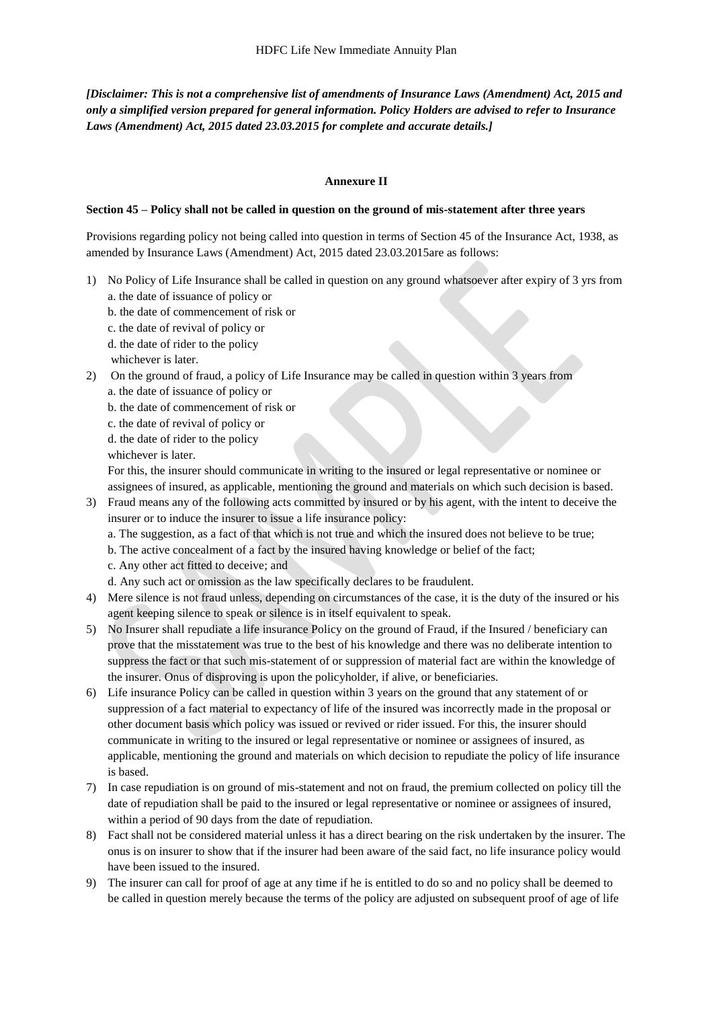*[Disclaimer: This is not a comprehensive list of amendments of Insurance Laws (Amendment) Act, 2015 and only a simplified version prepared for general information. Policy Holders are advised to refer to Insurance Laws (Amendment) Act, 2015 dated 23.03.2015 for complete and accurate details.]*

## **Annexure II**

#### **Section 45 – Policy shall not be called in question on the ground of mis-statement after three years**

Provisions regarding policy not being called into question in terms of Section 45 of the Insurance Act, 1938, as amended by Insurance Laws (Amendment) Act, 2015 dated 23.03.2015are as follows:

- 1) No Policy of Life Insurance shall be called in question on any ground whatsoever after expiry of 3 yrs from a. the date of issuance of policy or
	- b. the date of commencement of risk or
	- c. the date of revival of policy or
	- d. the date of rider to the policy
	- whichever is later.
- 2) On the ground of fraud, a policy of Life Insurance may be called in question within 3 years from
	- a. the date of issuance of policy or
	- b. the date of commencement of risk or
	- c. the date of revival of policy or
	- d. the date of rider to the policy
	- whichever is later.

For this, the insurer should communicate in writing to the insured or legal representative or nominee or assignees of insured, as applicable, mentioning the ground and materials on which such decision is based.

- 3) Fraud means any of the following acts committed by insured or by his agent, with the intent to deceive the insurer or to induce the insurer to issue a life insurance policy:
	- a. The suggestion, as a fact of that which is not true and which the insured does not believe to be true;
	- b. The active concealment of a fact by the insured having knowledge or belief of the fact;
	- c. Any other act fitted to deceive; and
	- d. Any such act or omission as the law specifically declares to be fraudulent.
- 4) Mere silence is not fraud unless, depending on circumstances of the case, it is the duty of the insured or his agent keeping silence to speak or silence is in itself equivalent to speak.
- 5) No Insurer shall repudiate a life insurance Policy on the ground of Fraud, if the Insured / beneficiary can prove that the misstatement was true to the best of his knowledge and there was no deliberate intention to suppress the fact or that such mis-statement of or suppression of material fact are within the knowledge of the insurer. Onus of disproving is upon the policyholder, if alive, or beneficiaries.
- 6) Life insurance Policy can be called in question within 3 years on the ground that any statement of or suppression of a fact material to expectancy of life of the insured was incorrectly made in the proposal or other document basis which policy was issued or revived or rider issued. For this, the insurer should communicate in writing to the insured or legal representative or nominee or assignees of insured, as applicable, mentioning the ground and materials on which decision to repudiate the policy of life insurance is based.
- 7) In case repudiation is on ground of mis-statement and not on fraud, the premium collected on policy till the date of repudiation shall be paid to the insured or legal representative or nominee or assignees of insured, within a period of 90 days from the date of repudiation.
- 8) Fact shall not be considered material unless it has a direct bearing on the risk undertaken by the insurer. The onus is on insurer to show that if the insurer had been aware of the said fact, no life insurance policy would have been issued to the insured.
- 9) The insurer can call for proof of age at any time if he is entitled to do so and no policy shall be deemed to be called in question merely because the terms of the policy are adjusted on subsequent proof of age of life